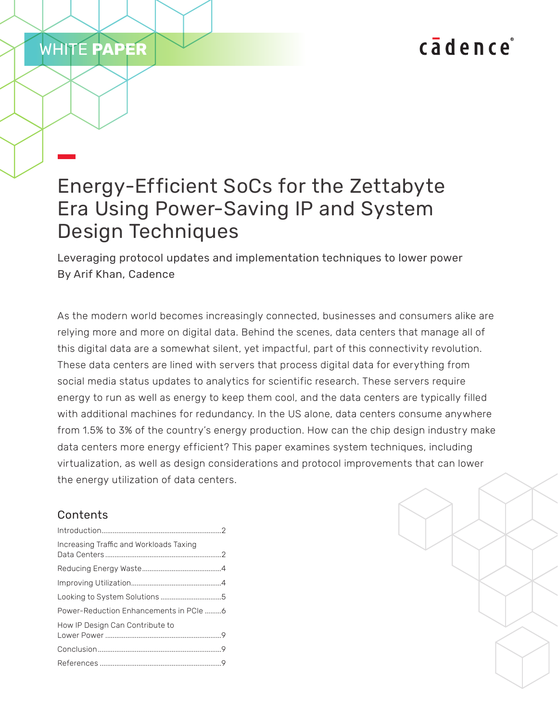# cadence

## Energy-Efficient SoCs for the Zettabyte Era Using Power-Saving IP and System Design Techniques

Leveraging protocol updates and implementation techniques to lower power By Arif Khan, Cadence

As the modern world becomes increasingly connected, businesses and consumers alike are relying more and more on digital data. Behind the scenes, data centers that manage all of this digital data are a somewhat silent, yet impactful, part of this connectivity revolution. These data centers are lined with servers that process digital data for everything from social media status updates to analytics for scientific research. These servers require energy to run as well as energy to keep them cool, and the data centers are typically filled with additional machines for redundancy. In the US alone, data centers consume anywhere from 1.5% to 3% of the country's energy production. How can the chip design industry make data centers more energy efficient? This paper examines system techniques, including virtualization, as well as design considerations and protocol improvements that can lower the energy utilization of data centers.

## Contents

WHITE **PAPER**

| Increasing Traffic and Workloads Taxing |  |
|-----------------------------------------|--|
|                                         |  |
|                                         |  |
|                                         |  |
| Power-Reduction Enhancements in PCIe 6  |  |
| How IP Design Can Contribute to         |  |
|                                         |  |
|                                         |  |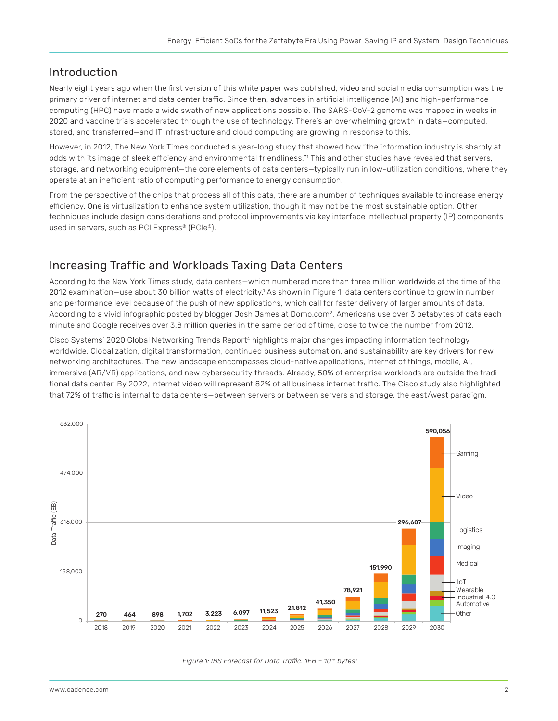#### <span id="page-1-0"></span>Introduction

Nearly eight years ago when the first version of this white paper was published, video and social media consumption was the primary driver of internet and data center traffic. Since then, advances in artificial intelligence (AI) and high-performance computing (HPC) have made a wide swath of new applications possible. The SARS-CoV-2 genome was mapped in weeks in 2020 and vaccine trials accelerated through the use of technology. There's an overwhelming growth in data—computed, stored, and transferred—and IT infrastructure and cloud computing are growing in response to this.

However, in 2012, The New York Times conducted a year-long study that showed how "the information industry is sharply at odds with its image of sleek efficiency and environmental friendliness."' This and other studies have revealed that servers, storage, and networking equipment—the core elements of data centers—typically run in low-utilization conditions, where they operate at an inefficient ratio of computing performance to energy consumption.

From the perspective of the chips that process all of this data, there are a number of techniques available to increase energy efficiency. One is virtualization to enhance system utilization, though it may not be the most sustainable option. Other techniques include design considerations and protocol improvements via key interface intellectual property (IP) components used in servers, such as PCI Express® (PCIe®).

## Increasing Traffic and Workloads Taxing Data Centers

According to the New York Times study, data centers—which numbered more than three million worldwide at the time of the 2012 examination—use about 30 billion watts of electricity.<sup>1</sup> As shown in Figure 1, data centers continue to grow in number and performance level because of the push of new applications, which call for faster delivery of larger amounts of data. According to a vivid infographic posted by blogger Josh James at Domo.com<sup>2</sup>, Americans use over 3 petabytes of data each minute and Google receives over 3.8 million queries in the same period of time, close to twice the number from 2012.

Cisco Systems' 2020 Global Networking Trends Report<sup>4</sup> highlights major changes impacting information technology worldwide. Globalization, digital transformation, continued business automation, and sustainability are key drivers for new networking architectures. The new landscape encompasses cloud-native applications, internet of things, mobile, AI, immersive (AR/VR) applications, and new cybersecurity threads. Already, 50% of enterprise workloads are outside the traditional data center. By 2022, internet video will represent 82% of all business internet traffic. The Cisco study also highlighted that 72% of traffic is internal to data centers—between servers or between servers and storage, the east/west paradigm.



*Figure 1: IBS Forecast for Data Traffic. 1EB = 1018 bytes3*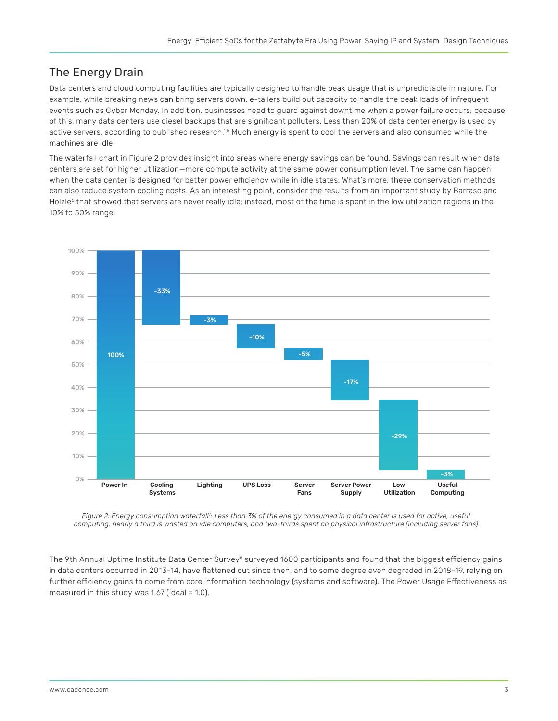## The Energy Drain

Data centers and cloud computing facilities are typically designed to handle peak usage that is unpredictable in nature. For example, while breaking news can bring servers down, e-tailers build out capacity to handle the peak loads of infrequent events such as Cyber Monday. In addition, businesses need to guard against downtime when a power failure occurs; because of this, many data centers use diesel backups that are significant polluters. Less than 20% of data center energy is used by active servers, according to published research.<sup>1,5</sup> Much energy is spent to cool the servers and also consumed while the machines are idle.

The waterfall chart in Figure 2 provides insight into areas where energy savings can be found. Savings can result when data centers are set for higher utilization—more compute activity at the same power consumption level. The same can happen when the data center is designed for better power efficiency while in idle states. What's more, these conservation methods can also reduce system cooling costs. As an interesting point, consider the results from an important study by Barraso and Hölzle<sup>6</sup> that showed that servers are never really idle; instead, most of the time is spent in the low utilization regions in the 10% to 50% range.



*Figure 2: Energy consumption waterfall<sup>7</sup> : Less than 3% of the energy consumed in a data center is used for active, useful computing, nearly a third is wasted on idle computers, and two-thirds spent on physical infrastructure (including server fans)*

The 9th Annual Uptime Institute Data Center Survey<sup>8</sup> surveyed 1600 participants and found that the biggest efficiency gains in data centers occurred in 2013-14, have flattened out since then, and to some degree even degraded in 2018-19, relying on further efficiency gains to come from core information technology (systems and software). The Power Usage Effectiveness as measured in this study was 1.67 (ideal  $= 1.0$ ).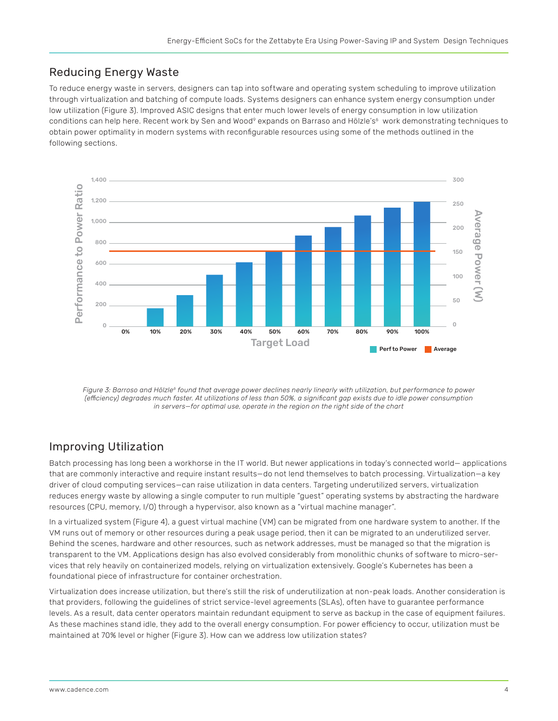## <span id="page-3-0"></span>Reducing Energy Waste

To reduce energy waste in servers, designers can tap into software and operating system scheduling to improve utilization through virtualization and batching of compute loads. Systems designers can enhance system energy consumption under low utilization (Figure 3). Improved ASIC designs that enter much lower levels of energy consumption in low utilization conditions can help here. Recent work by Sen and Wood<sup>9</sup> expands on Barraso and Hölzle's<sup>6</sup> work demonstrating techniques to obtain power optimality in modern systems with reconfigurable resources using some of the methods outlined in the following sections.



*Figure 3: Barroso and Hölzle<sup>6</sup> found that average power declines nearly linearly with utilization, but performance to power (efficiency) degrades much faster. At utilizations of less than 50%, a significant gap exists due to idle power consumption in servers—for optimal use, operate in the region on the right side of the chart*

## Improving Utilization

Batch processing has long been a workhorse in the IT world. But newer applications in today's connected world— applications that are commonly interactive and require instant results—do not lend themselves to batch processing. Virtualization—a key driver of cloud computing services—can raise utilization in data centers. Targeting underutilized servers, virtualization reduces energy waste by allowing a single computer to run multiple "guest" operating systems by abstracting the hardware resources (CPU, memory, I/O) through a hypervisor, also known as a "virtual machine manager".

In a virtualized system (Figure 4), a guest virtual machine (VM) can be migrated from one hardware system to another. If the VM runs out of memory or other resources during a peak usage period, then it can be migrated to an underutilized server. Behind the scenes, hardware and other resources, such as network addresses, must be managed so that the migration is transparent to the VM. Applications design has also evolved considerably from monolithic chunks of software to micro-services that rely heavily on containerized models, relying on virtualization extensively. Google's Kubernetes has been a foundational piece of infrastructure for container orchestration.

Virtualization does increase utilization, but there's still the risk of underutilization at non-peak loads. Another consideration is that providers, following the guidelines of strict service-level agreements (SLAs), often have to guarantee performance levels. As a result, data center operators maintain redundant equipment to serve as backup in the case of equipment failures. As these machines stand idle, they add to the overall energy consumption. For power efficiency to occur, utilization must be maintained at 70% level or higher (Figure 3). How can we address low utilization states?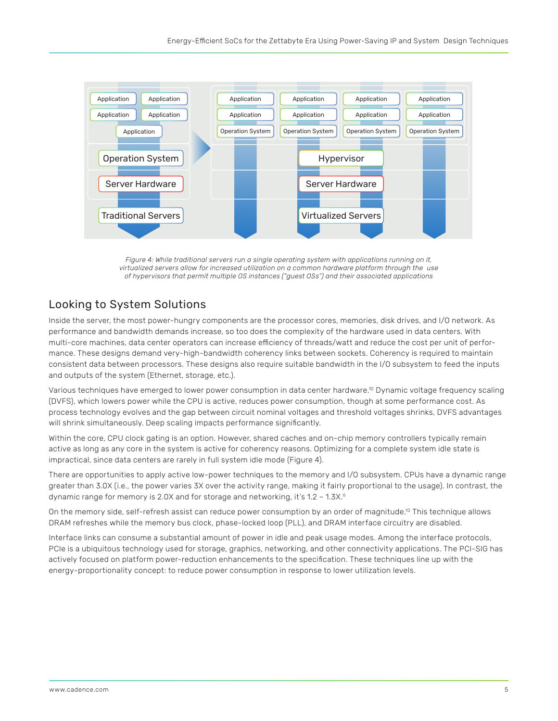<span id="page-4-0"></span>

*Figure 4: While traditional servers run a single operating system with applications running on it, virtualized servers allow for increased utilization on a common hardware platform through the use of hypervisors that permit multiple OS instances ("guest OSs") and their associated applications*

#### Looking to System Solutions

Inside the server, the most power-hungry components are the processor cores, memories, disk drives, and I/O network. As performance and bandwidth demands increase, so too does the complexity of the hardware used in data centers. With multi-core machines, data center operators can increase efficiency of threads/watt and reduce the cost per unit of performance. These designs demand very-high-bandwidth coherency links between sockets. Coherency is required to maintain consistent data between processors. These designs also require suitable bandwidth in the I/O subsystem to feed the inputs and outputs of the system (Ethernet, storage, etc.).

Various techniques have emerged to lower power consumption in data center hardware.10 Dynamic voltage frequency scaling (DVFS), which lowers power while the CPU is active, reduces power consumption, though at some performance cost. As process technology evolves and the gap between circuit nominal voltages and threshold voltages shrinks, DVFS advantages will shrink simultaneously. Deep scaling impacts performance significantly.

Within the core, CPU clock gating is an option. However, shared caches and on-chip memory controllers typically remain active as long as any core in the system is active for coherency reasons. Optimizing for a complete system idle state is impractical, since data centers are rarely in full system idle mode (Figure 4).

There are opportunities to apply active low-power techniques to the memory and I/O subsystem. CPUs have a dynamic range greater than 3.0X (i.e., the power varies 3X over the activity range, making it fairly proportional to the usage). In contrast, the dynamic range for memory is 2.0X and for storage and networking, it's 1.2 - 1.3X.<sup>6</sup>

On the memory side, self-refresh assist can reduce power consumption by an order of magnitude.10 This technique allows DRAM refreshes while the memory bus clock, phase-locked loop (PLL), and DRAM interface circuitry are disabled.

Interface links can consume a substantial amount of power in idle and peak usage modes. Among the interface protocols, PCIe is a ubiquitous technology used for storage, graphics, networking, and other connectivity applications. The PCI-SIG has actively focused on platform power-reduction enhancements to the specification. These techniques line up with the energy-proportionality concept: to reduce power consumption in response to lower utilization levels.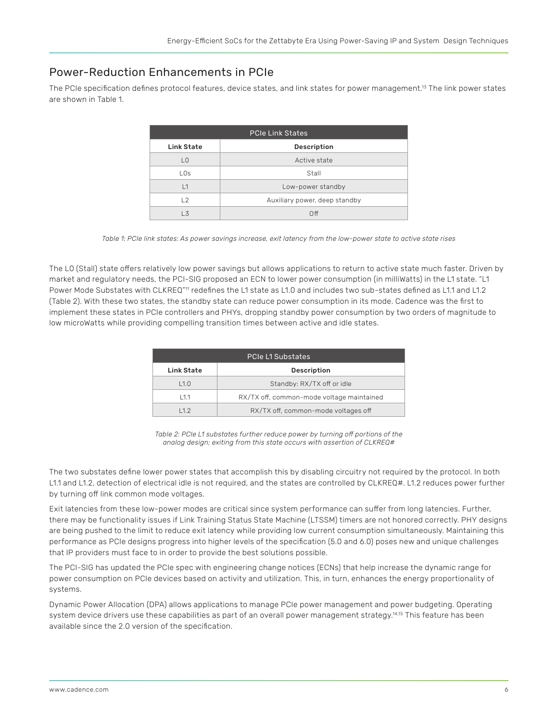### <span id="page-5-0"></span>Power-Reduction Enhancements in PCIe

The PCIe specification defines protocol features, device states, and link states for power management.13 The link power states are shown in Table 1.

| PCIe Link States |                               |  |
|------------------|-------------------------------|--|
| Link State       | Description                   |  |
| LO               | Active state                  |  |
| LOS              | Stall                         |  |
| $\overline{1}$   | Low-power standby             |  |
| 12               | Auxiliary power, deep standby |  |
| l 3              | Off                           |  |

*Table 1: PCIe link states: As power savings increase, exit latency from the low-power state to active state rises*

The L0 (Stall) state offers relatively low power savings but allows applications to return to active state much faster. Driven by market and regulatory needs, the PCI-SIG proposed an ECN to lower power consumption (in milliWatts) in the L1 state. "L1 Power Mode Substates with CLKREQ"<sup>11</sup> redefines the L1 state as L1.0 and includes two sub-states defined as L1.1 and L1.2 (Table 2). With these two states, the standby state can reduce power consumption in its mode. Cadence was the first to implement these states in PCIe controllers and PHYs, dropping standby power consumption by two orders of magnitude to low microWatts while providing compelling transition times between active and idle states.

| <b>PCIe L1 Substates</b> |                                           |  |
|--------------------------|-------------------------------------------|--|
| Link State               | Description                               |  |
| L1.0                     | Standby: RX/TX off or idle                |  |
| 111                      | RX/TX off, common-mode voltage maintained |  |
| 112                      | RX/TX off, common-mode voltages off       |  |

*Table 2: PCIe L1 substates further reduce power by turning off portions of the analog design; exiting from this state occurs with assertion of CLKREQ#* 

The two substates define lower power states that accomplish this by disabling circuitry not required by the protocol. In both L1.1 and L1.2, detection of electrical idle is not required, and the states are controlled by CLKREQ#. L1.2 reduces power further by turning off link common mode voltages.

Exit latencies from these low-power modes are critical since system performance can suffer from long latencies. Further, there may be functionality issues if Link Training Status State Machine (LTSSM) timers are not honored correctly. PHY designs are being pushed to the limit to reduce exit latency while providing low current consumption simultaneously. Maintaining this performance as PCIe designs progress into higher levels of the specification (5.0 and 6.0) poses new and unique challenges that IP providers must face to in order to provide the best solutions possible.

The PCI-SIG has updated the PCIe spec with engineering change notices (ECNs) that help increase the dynamic range for power consumption on PCIe devices based on activity and utilization. This, in turn, enhances the energy proportionality of systems.

Dynamic Power Allocation (DPA) allows applications to manage PCIe power management and power budgeting. Operating system device drivers use these capabilities as part of an overall power management strategy.<sup>14,15</sup> This feature has been available since the 2.0 version of the specification.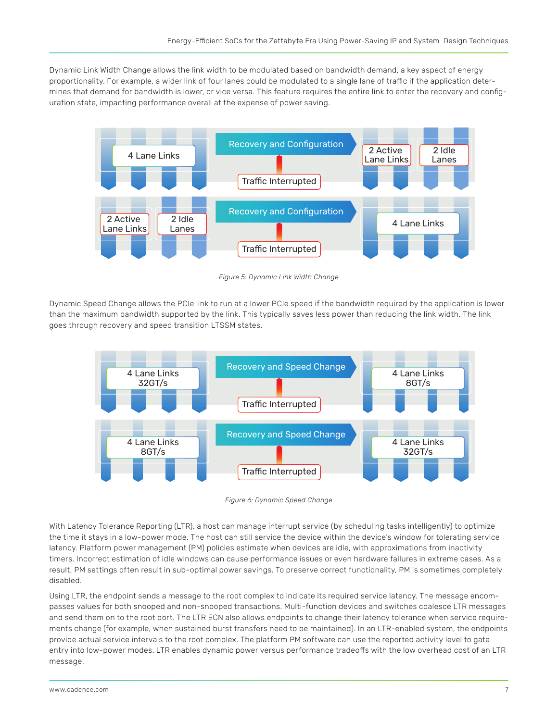Dynamic Link Width Change allows the link width to be modulated based on bandwidth demand, a key aspect of energy proportionality. For example, a wider link of four lanes could be modulated to a single lane of traffic if the application determines that demand for bandwidth is lower, or vice versa. This feature requires the entire link to enter the recovery and configuration state, impacting performance overall at the expense of power saving.



*Figure 5: Dynamic Link Width Change*

Dynamic Speed Change allows the PCIe link to run at a lower PCIe speed if the bandwidth required by the application is lower than the maximum bandwidth supported by the link. This typically saves less power than reducing the link width. The link goes through recovery and speed transition LTSSM states.



*Figure 6: Dynamic Speed Change* 

With Latency Tolerance Reporting (LTR), a host can manage interrupt service (by scheduling tasks intelligently) to optimize the time it stays in a low-power mode. The host can still service the device within the device's window for tolerating service latency. Platform power management (PM) policies estimate when devices are idle, with approximations from inactivity timers. Incorrect estimation of idle windows can cause performance issues or even hardware failures in extreme cases. As a result, PM settings often result in sub-optimal power savings. To preserve correct functionality, PM is sometimes completely disabled.

Using LTR, the endpoint sends a message to the root complex to indicate its required service latency. The message encompasses values for both snooped and non-snooped transactions. Multi-function devices and switches coalesce LTR messages and send them on to the root port. The LTR ECN also allows endpoints to change their latency tolerance when service requirements change (for example, when sustained burst transfers need to be maintained). In an LTR-enabled system, the endpoints provide actual service intervals to the root complex. The platform PM software can use the reported activity level to gate entry into low-power modes. LTR enables dynamic power versus performance tradeoffs with the low overhead cost of an LTR message.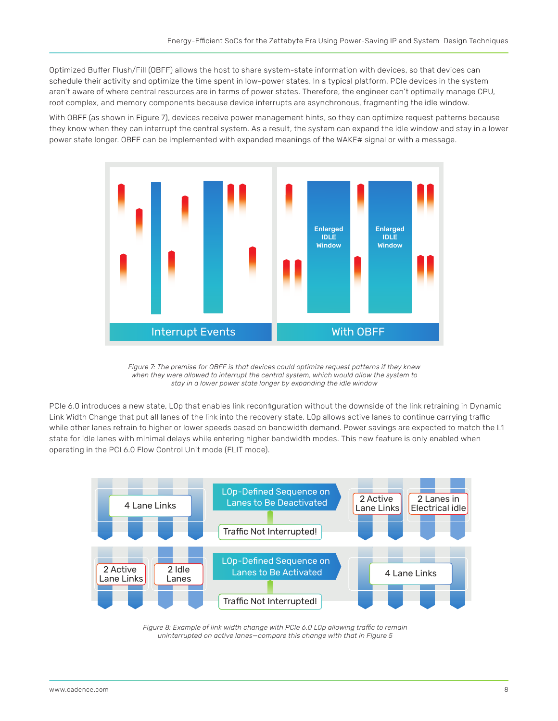Optimized Buffer Flush/Fill (OBFF) allows the host to share system-state information with devices, so that devices can schedule their activity and optimize the time spent in low-power states. In a typical platform, PCIe devices in the system aren't aware of where central resources are in terms of power states. Therefore, the engineer can't optimally manage CPU, root complex, and memory components because device interrupts are asynchronous, fragmenting the idle window.

With OBFF (as shown in Figure 7), devices receive power management hints, so they can optimize request patterns because they know when they can interrupt the central system. As a result, the system can expand the idle window and stay in a lower power state longer. OBFF can be implemented with expanded meanings of the WAKE# signal or with a message.



*Figure 7: The premise for OBFF is that devices could optimize request patterns if they knew when they were allowed to interrupt the central system, which would allow the system to stay in a lower power state longer by expanding the idle window*

PCIe 6.0 introduces a new state, L0p that enables link reconfiguration without the downside of the link retraining in Dynamic Link Width Change that put all lanes of the link into the recovery state. L0p allows active lanes to continue carrying traffic while other lanes retrain to higher or lower speeds based on bandwidth demand. Power savings are expected to match the L1 state for idle lanes with minimal delays while entering higher bandwidth modes. This new feature is only enabled when operating in the PCI 6.0 Flow Control Unit mode (FLIT mode).



*Figure 8: Example of link width change with PCIe 6.0 L0p allowing traffic to remain uninterrupted on active lanes—compare this change with that in Figure 5*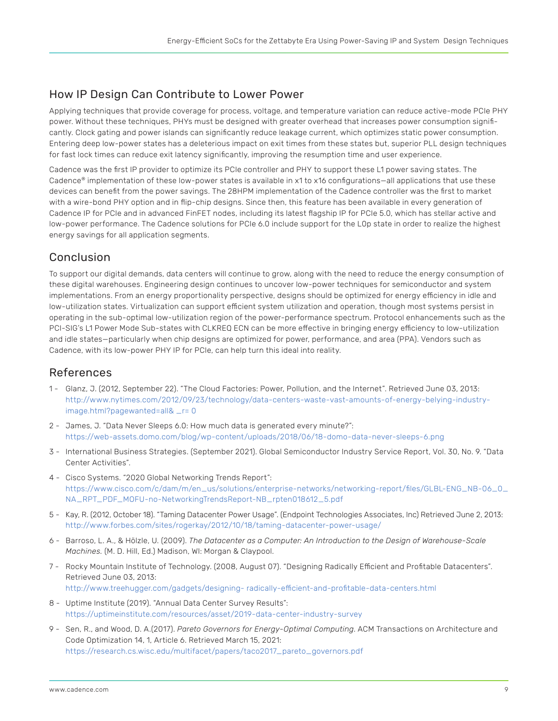### <span id="page-8-0"></span>How IP Design Can Contribute to Lower Power

Applying techniques that provide coverage for process, voltage, and temperature variation can reduce active-mode PCIe PHY power. Without these techniques, PHYs must be designed with greater overhead that increases power consumption significantly. Clock gating and power islands can significantly reduce leakage current, which optimizes static power consumption. Entering deep low-power states has a deleterious impact on exit times from these states but, superior PLL design techniques for fast lock times can reduce exit latency significantly, improving the resumption time and user experience.

Cadence was the first IP provider to optimize its PCIe controller and PHY to support these L1 power saving states. The Cadence® implementation of these low-power states is available in x1 to x16 configurations—all applications that use these devices can benefit from the power savings. The 28HPM implementation of the Cadence controller was the first to market with a wire-bond PHY option and in flip-chip designs. Since then, this feature has been available in every generation of Cadence IP for PCIe and in advanced FinFET nodes, including its latest flagship IP for PCIe 5.0, which has stellar active and low-power performance. The Cadence solutions for PCIe 6.0 include support for the L0p state in order to realize the highest energy savings for all application segments.

## Conclusion

To support our digital demands, data centers will continue to grow, along with the need to reduce the energy consumption of these digital warehouses. Engineering design continues to uncover low-power techniques for semiconductor and system implementations. From an energy proportionality perspective, designs should be optimized for energy efficiency in idle and low-utilization states. Virtualization can support efficient system utilization and operation, though most systems persist in operating in the sub-optimal low-utilization region of the power-performance spectrum. Protocol enhancements such as the PCI-SIG's L1 Power Mode Sub-states with CLKREQ ECN can be more effective in bringing energy efficiency to low-utilization and idle states—particularly when chip designs are optimized for power, performance, and area (PPA). Vendors such as Cadence, with its low-power PHY IP for PCIe, can help turn this ideal into reality.

#### References

- 1 Glanz, J. (2012, September 22). "The Cloud Factories: Power, Pollution, and the Internet". Retrieved June 03, 2013: [http://www.nytimes.com/2012/09/23/technology/data-centers-waste-vast-amounts-of-energy-belying-industry](http://www.nytimes.com/2012/09/23/technology/data-centers-waste-vast-amounts-of-energy-belying-indus)[image.html?pagewanted=all& \\_r= 0](http://www.nytimes.com/2012/09/23/technology/data-centers-waste-vast-amounts-of-energy-belying-indus)
- 2 James, J. "Data Never Sleeps 6.0: How much data is generated every minute?": <https://web-assets.domo.com/blog/wp-content/uploads/2018/06/18-domo-data-never-sleeps-6.png>
- 3 International Business Strategies. (September 2021). Global Semiconductor Industry Service Report, Vol. 30, No. 9. "Data Center Activities".
- 4 Cisco Systems. "2020 Global Networking Trends Report": [https://www.cisco.com/c/dam/m/en\\_us/solutions/enterprise-networks/networking-report/files/GLBL-ENG\\_NB-06\\_0\\_](https://www.cisco.com/c/dam/m/en_us/solutions/enterprise-networks/networking-report/files/GLBL-ENG_N) [NA\\_RPT\\_PDF\\_MOFU-no-NetworkingTrendsReport-NB\\_rpten018612\\_5.pdf](https://www.cisco.com/c/dam/m/en_us/solutions/enterprise-networks/networking-report/files/GLBL-ENG_N)
- 5 Kay, R. (2012, October 18). "Taming Datacenter Power Usage". (Endpoint Technologies Associates, Inc) Retrieved June 2, 2013: [http://www.forbes.com/sites/rogerkay/2012/10/18/taming-datacenter-power-usage/](http://www.forbes.com/sites/rogerkay/2012/10/18/taming-datacenter-power-usage/ )
- 6 Barroso, L. A., & Hölzle, U. (2009). *The Datacenter as a Computer: An Introduction to the Design of Warehouse-Scale Machines.* (M. D. Hill, Ed.) Madison, WI: Morgan & Claypool.
- 7 Rocky Mountain Institute of Technology. (2008, August 07). "Designing Radically Efficient and Profitable Datacenters". Retrieved June 03, 2013: <http://www.treehugger.com/gadgets/designing- radically-efficient-and-profitable-data-centers.html>
- 8 Uptime Institute (2019). "Annual Data Center Survey Results": <https://uptimeinstitute.com/resources/asset/2019-data-center-industry-survey>
- 9 Sen, R., and Wood, D. A.(2017). *Pareto Governors for Energy-Optimal Computing*. ACM Transactions on Architecture and Code Optimization 14, 1, Article 6. Retrieved March 15, 2021: [https://research.cs.wisc.edu/multifacet/papers/taco2017\\_pareto\\_governors.pdf](https://research.cs.wisc.edu/multifacet/papers/taco2017_pareto_governors.pdf)